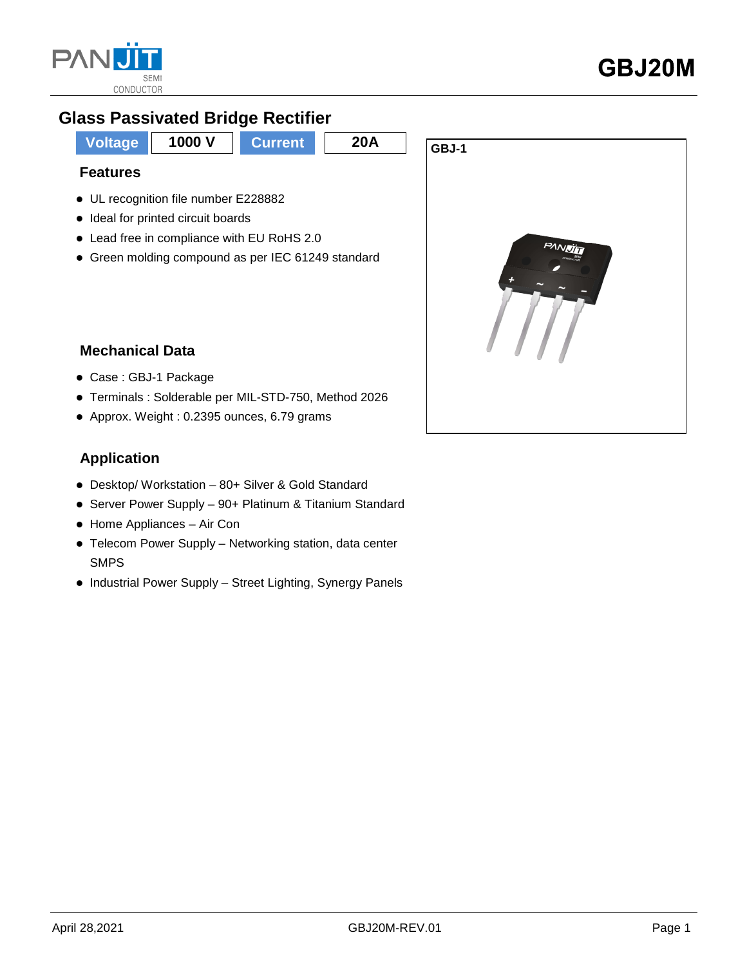

## **Glass Passivated Bridge Rectifier**



Green molding compound as per IEC 61249 standard



### **Mechanical Data**

- Case : GBJ-1 Package
- Terminals : Solderable per MIL-STD-750, Method 2026
- Approx. Weight : 0.2395 ounces, 6.79 grams

### **Application**

- Desktop/ Workstation 80+ Silver & Gold Standard
- Server Power Supply 90+ Platinum & Titanium Standard
- Home Appliances Air Con
- Telecom Power Supply Networking station, data center SMPS
- Industrial Power Supply Street Lighting, Synergy Panels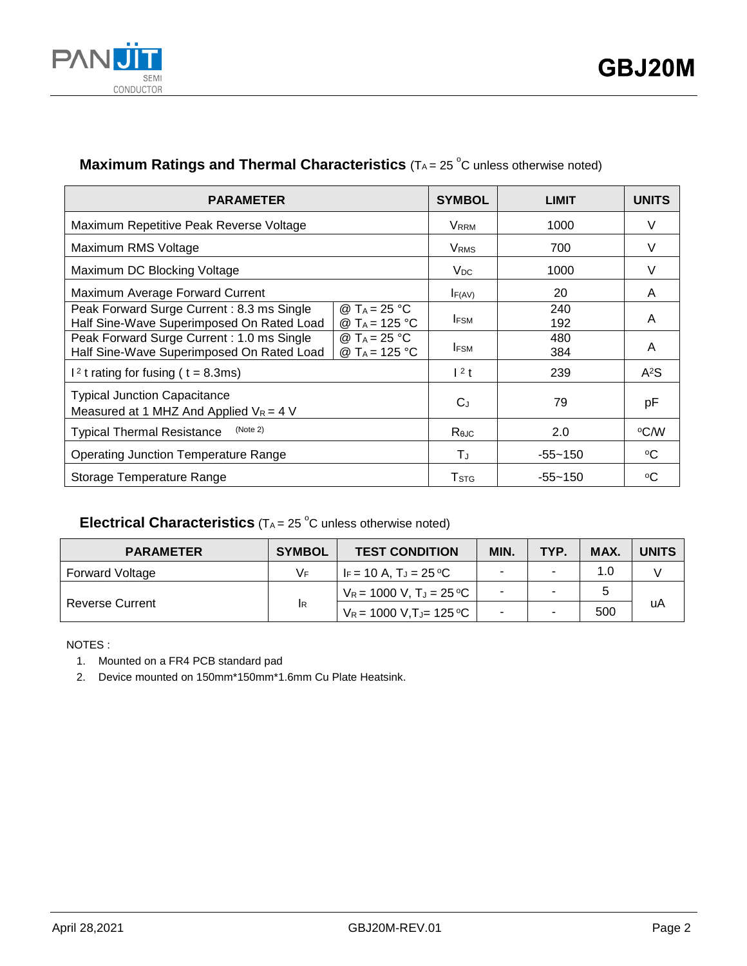

### **Maximum Ratings and Thermal Characteristics** (T<sub>A</sub> = 25 °C unless otherwise noted)

| <b>PARAMETER</b>                                                                       |                                                       | <b>SYMBOL</b>           | <b>LIMIT</b> | <b>UNITS</b> |
|----------------------------------------------------------------------------------------|-------------------------------------------------------|-------------------------|--------------|--------------|
| Maximum Repetitive Peak Reverse Voltage                                                |                                                       | <b>VRRM</b>             | 1000         | V            |
| Maximum RMS Voltage                                                                    | <b>V</b> <sub>RMS</sub>                               | 700                     | V            |              |
| Maximum DC Blocking Voltage                                                            |                                                       | V <sub>DC</sub>         | 1000         | V            |
| Maximum Average Forward Current                                                        |                                                       | F(AV)                   | 20           | A            |
| Peak Forward Surge Current: 8.3 ms Single<br>Half Sine-Wave Superimposed On Rated Load | @ T <sub>A</sub> = 25 °C<br>@ T <sub>A</sub> = 125 °C | <b>IFSM</b>             | 240<br>192   | A            |
| Peak Forward Surge Current: 1.0 ms Single<br>Half Sine-Wave Superimposed On Rated Load | @ T <sub>A</sub> = 25 °C<br>@ T <sub>A</sub> = 125 °C | <b>IFSM</b>             | 480<br>384   | A            |
| $12$ t rating for fusing ( t = 8.3ms)                                                  |                                                       | $12$ t                  | 239          | $A^2S$       |
| <b>Typical Junction Capacitance</b><br>Measured at 1 MHZ And Applied $V_R = 4$ V       |                                                       | $C_J$                   | 79           | pF           |
| (Note 2)<br><b>Typical Thermal Resistance</b>                                          |                                                       | Rejc                    | 2.0          | °C⁄W         |
| <b>Operating Junction Temperature Range</b>                                            |                                                       | TJ.                     | $-55 - 150$  | °C           |
| Storage Temperature Range                                                              |                                                       | <b>T</b> <sub>STG</sub> | $-55 - 150$  | ∘C           |

### **Electrical Characteristics**  $(T_A = 25 \degree C$  unless otherwise noted)

| <b>PARAMETER</b>       | <b>SYMBOL</b> | <b>TEST CONDITION</b>                 | <b>MIN</b> | TYP. | MAX. | <b>UNITS</b> |
|------------------------|---------------|---------------------------------------|------------|------|------|--------------|
| <b>Forward Voltage</b> | VF.           | IF = 10 A. TJ = 25 °C                 |            | ۰    | 1.0  |              |
|                        | <b>IR</b>     | $V_R = 1000 V$ , $T_J = 25 \degree C$ |            |      |      |              |
| <b>Reverse Current</b> |               | $V_R$ = 1000 V,TJ= 125 °C             |            |      | 500  | uA           |

NOTES :

1. Mounted on a FR4 PCB standard pad

2. Device mounted on 150mm\*150mm\*1.6mm Cu Plate Heatsink.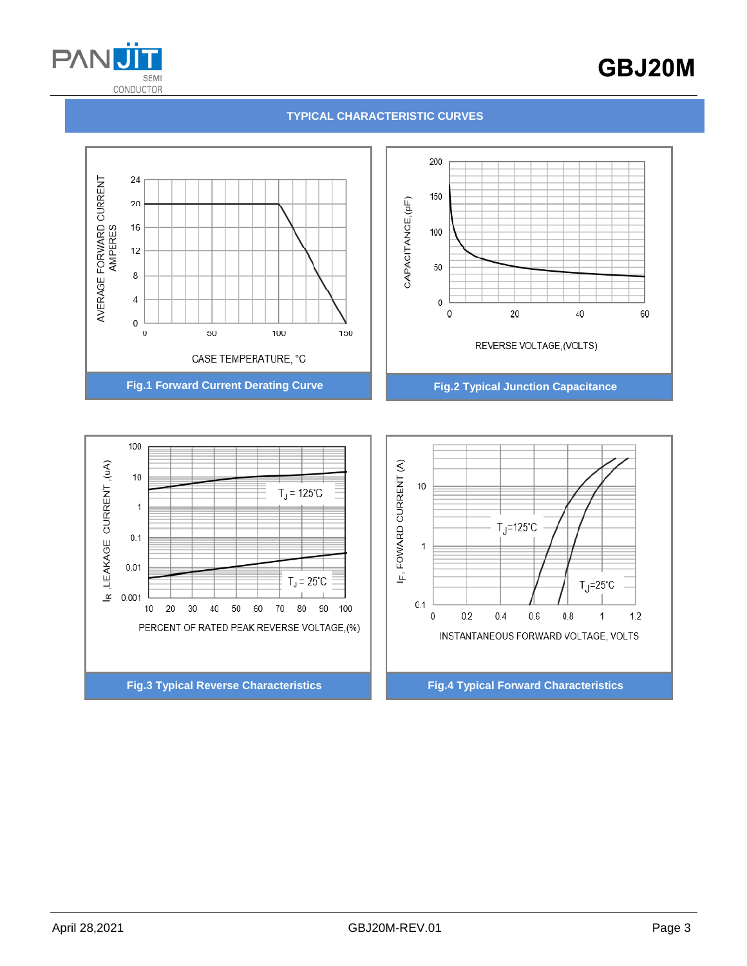

# GBJ20M

#### **TYPICAL CHARACTERISTIC CURVES**



**Fig.3 Typical Reverse Characteristics Fig.4 Typical Forward Characteristics**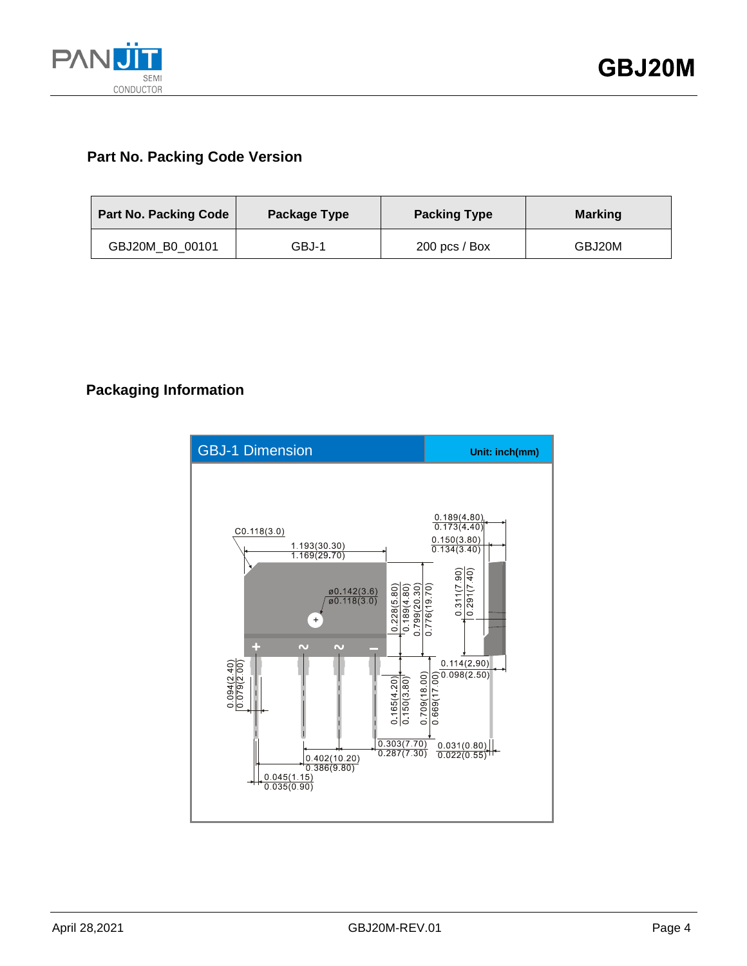

### **Part No. Packing Code Version**

| Part No. Packing Code | Package Type | <b>Packing Type</b> | <b>Marking</b> |
|-----------------------|--------------|---------------------|----------------|
| GBJ20M B0 00101       | GBJ-1        | $200$ pcs / Box     | GBJ20M         |

### **Packaging Information**